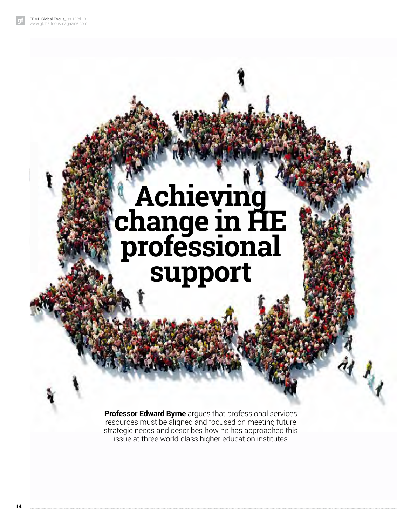## **Achieving change in HE professional support**

**Professor Edward Byrne** argues that professional services resources must be aligned and focused on meeting future strategic needs and describes how he has approached this issue at three world-class higher education institutes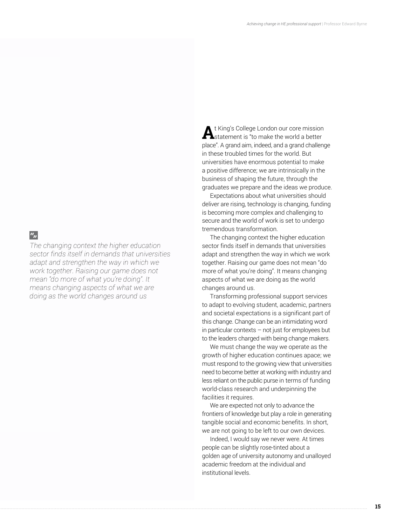### $\mathbf{u}_n$

*The changing context the higher education sector finds itself in demands that universities adapt and strengthen the way in which we work together. Raising our game does not mean "do more of what you're doing". It means changing aspects of what we are doing as the world changes around us*

At King's College London our core mission<br>
Statement is "to make the world a better place". A grand aim, indeed, and a grand challenge in these troubled times for the world. But universities have enormous potential to make a positive difference; we are intrinsically in the business of shaping the future, through the graduates we prepare and the ideas we produce.

Expectations about what universities should deliver are rising, technology is changing, funding is becoming more complex and challenging to secure and the world of work is set to undergo tremendous transformation.

The changing context the higher education sector finds itself in demands that universities adapt and strengthen the way in which we work together. Raising our game does not mean "do more of what you're doing". It means changing aspects of what we are doing as the world changes around us.

Transforming professional support services to adapt to evolving student, academic, partners and societal expectations is a significant part of this change. Change can be an intimidating word in particular contexts – not just for employees but to the leaders charged with being change makers.

We must change the way we operate as the growth of higher education continues apace; we must respond to the growing view that universities need to become better at working with industry and less reliant on the public purse in terms of funding world-class research and underpinning the facilities it requires.

We are expected not only to advance the frontiers of knowledge but play a role in generating tangible social and economic benefits. In short, we are not going to be left to our own devices.

Indeed, I would say we never were. At times people can be slightly rose-tinted about a golden age of university autonomy and unalloyed academic freedom at the individual and institutional levels.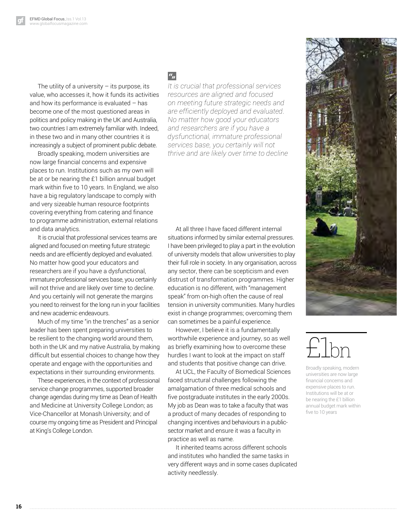The utility of a university  $-$  its purpose, its value, who accesses it, how it funds its activities and how its performance is evaluated – has become one of the most questioned areas in politics and policy making in the UK and Australia, two countries I am extremely familiar with. Indeed, in these two and in many other countries it is increasingly a subject of prominent public debate.

Broadly speaking, modern universities are now large financial concerns and expensive places to run. Institutions such as my own will be at or be nearing the £1 billion annual budget mark within five to 10 years. In England, we also have a big regulatory landscape to comply with and very sizeable human resource footprints covering everything from catering and finance to programme administration, external relations and data analytics.

It is crucial that professional services teams are aligned and focused on meeting future strategic needs and are efficiently deployed and evaluated. No matter how good your educators and researchers are if you have a dysfunctional, immature professional services base, you certainly will not thrive and are likely over time to decline. And you certainly will not generate the margins you need to reinvest for the long run in your facilities and new academic endeavours.

Much of my time "in the trenches" as a senior leader has been spent preparing universities to be resilient to the changing world around them, both in the UK and my native Australia, by making difficult but essential choices to change how they operate and engage with the opportunities and expectations in their surrounding environments.

These experiences, in the context of professional service change programmes, supported broader change agendas during my time as Dean of Health and Medicine at University College London; as Vice-Chancellor at Monash University; and of course my ongoing time as President and Principal at King's College London.

### $a_{jj}$

*It is crucial that professional services resources are aligned and focused on meeting future strategic needs and are efficiently deployed and evaluated. No matter how good your educators and researchers are if you have a dysfunctional, immature professional services base, you certainly will not thrive and are likely over time to decline*

At all three I have faced different internal situations informed by similar external pressures. I have been privileged to play a part in the evolution of university models that allow universities to play their full role in society. In any organisation, across any sector, there can be scepticism and even distrust of transformation programmes. Higher education is no different, with "management speak" from on-high often the cause of real tension in university communities. Many hurdles exist in change programmes; overcoming them can sometimes be a painful experience.

However, I believe it is a fundamentally worthwhile experience and journey, so as well as briefly examining how to overcome these hurdles I want to look at the impact on staff and students that positive change can drive.

At UCL, the Faculty of Biomedical Sciences faced structural challenges following the amalgamation of three medical schools and five postgraduate institutes in the early 2000s. My job as Dean was to take a faculty that was a product of many decades of responding to changing incentives and behaviours in a publicsector market and ensure it was a faculty in practice as well as name.

It inherited teams across different schools and institutes who handled the same tasks in very different ways and in some cases duplicated activity needlessly.

# £1bn

Broadly speaking, modern universities are now large fnancial concerns and expensive places to run. Institutions will be at or be nearing the £1 billion annual budget mark within five to 10 years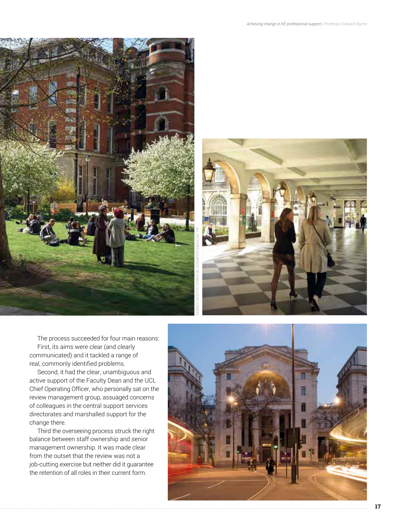



The process succeeded for four main reasons: First, its aims were clear (and clearly communicated) and it tackled a range of real, commonly identified problems.

Second, it had the clear, unambiguous and active support of the Faculty Dean and the UCL Chief Operating Officer, who personally sat on the review management group, assuaged concerns of colleagues in the central support services directorates and marshalled support for the change there.

Third the overseeing process struck the right balance between staff ownership and senior management ownership. It was made clear from the outset that the review was not a job-cutting exercise but neither did it guarantee the retention of all roles in their current form.

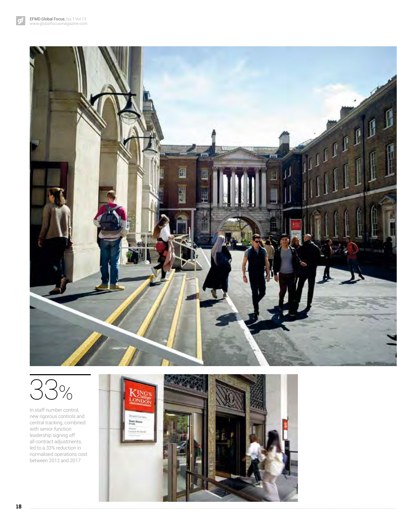qf





In staff number control, new rigorous controls and central tracking, combined with senior function leadership signing off all contract adjustments, led to a 33% reduction in normalised operations cost between 2012 and 2017